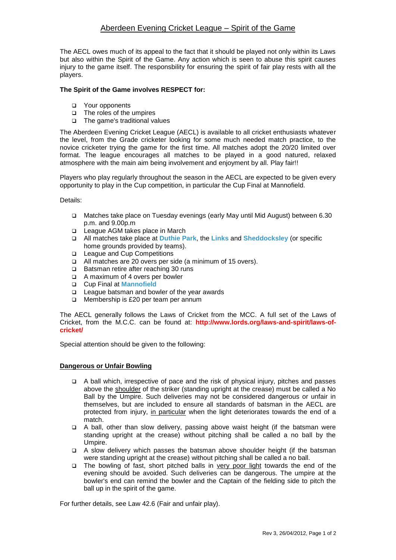The AECL owes much of its appeal to the fact that it should be played not only within its Laws but also within the Spirit of the Game. Any action which is seen to abuse this spirit causes injury to the game itself. The responsbility for ensuring the spirit of fair play rests with all the players.

## **The Spirit of the Game involves RESPECT for:**

- Your opponents
- The roles of the umpires
- $\Box$  The game's traditional values

The Aberdeen Evening Cricket League (AECL) is available to all cricket enthusiasts whatever the level, from the Grade cricketer looking for some much needed match practice, to the novice cricketer trying the game for the first time. All matches adopt the 20/20 limited over format. The league encourages all matches to be played in a good natured, relaxed atmosphere with the main aim being involvement and enjoyment by all. Play fair!!

Players who play regularly throughout the season in the AECL are expected to be given every opportunity to play in the Cup competition, in particular the Cup Final at Mannofield.

Details:

- Matches take place on Tuesday evenings (early May until Mid August) between 6.30 p.m. and 9.00p.m
- League AGM takes place in March
- All matches take place at **[Duthie Park](http://www.acagrades.org.uk/aca_grades/grounds?id=2)**, the **[Links](http://www.acagrades.org.uk/aca_grades/grounds?id=8)** and **[Sheddocksley](http://www.acagrades.org.uk/aca_grades/grounds?id=23)** (or specific home grounds provided by teams).
- □ League and Cup Competitions
- All matches are 20 overs per side (a minimum of 15 overs).
- □ Batsman retire after reaching 30 runs
- □ A maximum of 4 overs per bowler
- Cup Final at **[Mannofield](http://www.acagrades.org.uk/aca_grades/grounds?id=22)**
- □ League batsman and bowler of the year awards
- □ Membership is £20 per team per annum

The AECL generally follows the Laws of Cricket from the MCC. A full set of the Laws of Cricket, from the M.C.C. can be found at: **[http://www.lords.org/laws-and-spirit/laws-of](http://www.lords.org/laws-and-spirit/laws-of-cricket/)cricket/**

Special attention should be given to the following:

#### **Dangerous or Unfair Bowling**

- A ball which, irrespective of pace and the risk of physical injury, pitches and passes above the shoulder of the striker (standing upright at the crease) must be called a No Ball by the Umpire. Such deliveries may not be considered dangerous or unfair in themselves, but are included to ensure all standards of batsman in the AECL are protected from injury, in particular when the light deteriorates towards the end of a match.
- A ball, other than slow delivery, passing above waist height (if the batsman were standing upright at the crease) without pitching shall be called a no ball by the Umpire.
- A slow delivery which passes the batsman above shoulder height (if the batsman were standing upright at the crease) without pitching shall be called a no ball.
- The bowling of fast, short pitched balls in very poor light towards the end of the evening should be avoided. Such deliveries can be dangerous. The umpire at the bowler's end can remind the bowler and the Captain of the fielding side to pitch the ball up in the spirit of the game.

For further details, see Law 42.6 (Fair and unfair play).